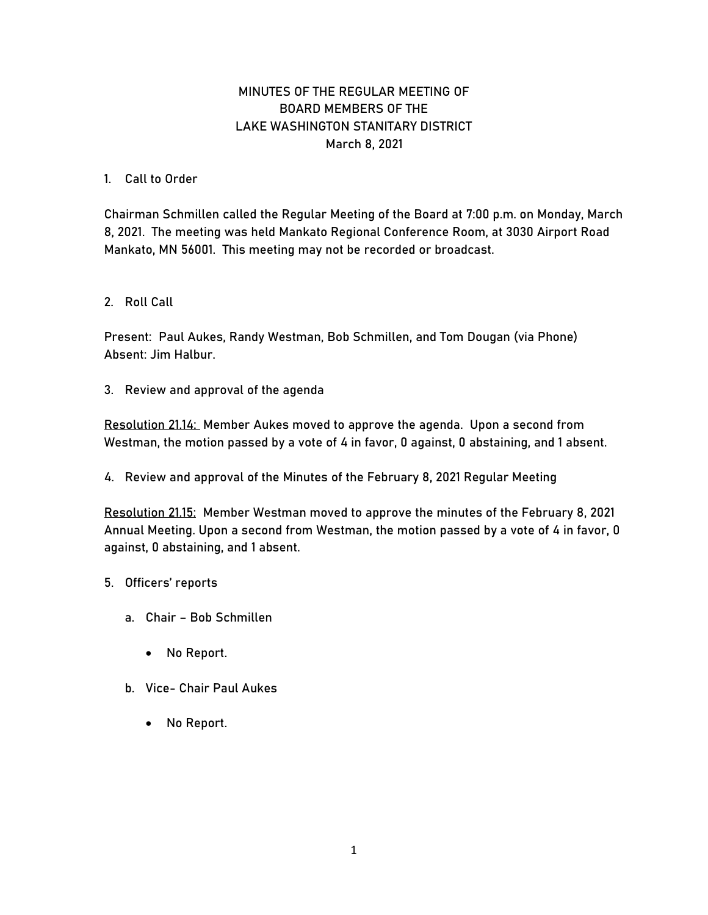## MINUTES OF THE REGULAR MEETING OF BOARD MEMBERS OF THE LAKE WASHINGTON STANITARY DISTRICT March 8, 2021

## 1. Call to Order

Chairman Schmillen called the Regular Meeting of the Board at 7:00 p.m. on Monday, March 8, 2021. The meeting was held Mankato Regional Conference Room, at 3030 Airport Road Mankato, MN 56001. This meeting may not be recorded or broadcast.

## 2. Roll Call

Present: Paul Aukes, Randy Westman, Bob Schmillen, and Tom Dougan (via Phone) Absent: Jim Halbur.

3. Review and approval of the agenda

Resolution 21.14: Member Aukes moved to approve the agenda. Upon a second from Westman, the motion passed by a vote of 4 in favor, 0 against, 0 abstaining, and 1 absent.

4. Review and approval of the Minutes of the February 8, 2021 Regular Meeting

Resolution 21.15: Member Westman moved to approve the minutes of the February 8, 2021 Annual Meeting. Upon a second from Westman, the motion passed by a vote of 4 in favor, 0 against, 0 abstaining, and 1 absent.

- 5. Officers' reports
	- a. Chair Bob Schmillen
		- No Report.
	- b. Vice- Chair Paul Aukes
		- No Report.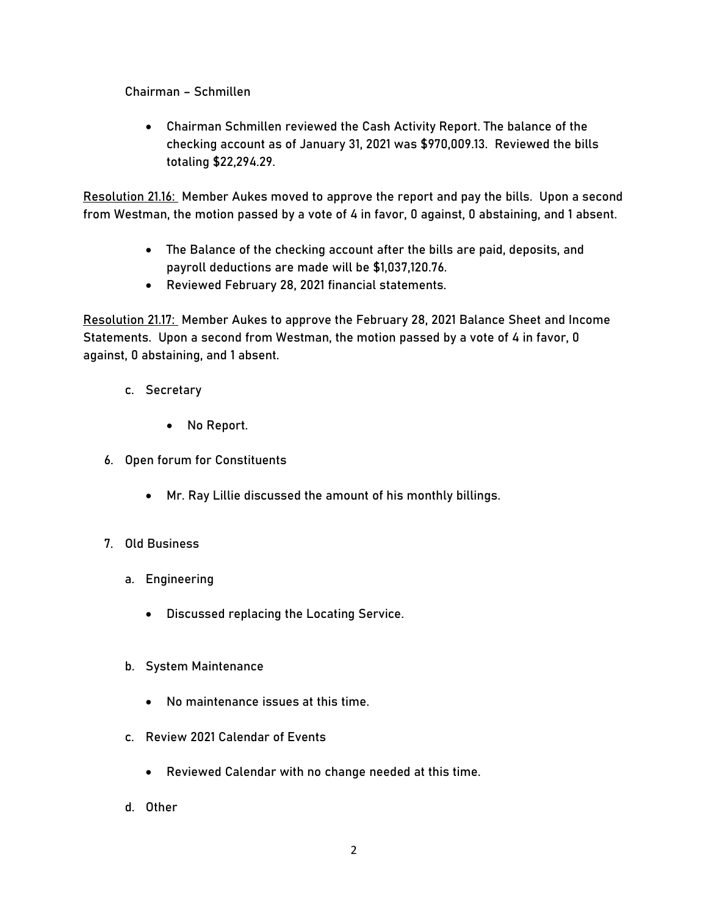Chairman – Schmillen

• Chairman Schmillen reviewed the Cash Activity Report. The balance of the checking account as of January 31, 2021 was \$970,009.13. Reviewed the bills totaling \$22,294.29.

Resolution 21.16: Member Aukes moved to approve the report and pay the bills. Upon a second from Westman, the motion passed by a vote of 4 in favor, 0 against, 0 abstaining, and 1 absent.

- The Balance of the checking account after the bills are paid, deposits, and payroll deductions are made will be \$1,037,120.76.
- Reviewed February 28, 2021 financial statements.

Resolution 21.17: Member Aukes to approve the February 28, 2021 Balance Sheet and Income Statements. Upon a second from Westman, the motion passed by a vote of 4 in favor, 0 against, 0 abstaining, and 1 absent.

- c. Secretary
	- No Report.
- 6. Open forum for Constituents
	- Mr. Ray Lillie discussed the amount of his monthly billings.
- 7. Old Business
	- a. Engineering
		- Discussed replacing the Locating Service.
	- b. System Maintenance
		- No maintenance issues at this time.
	- c. Review 2021 Calendar of Events
		- Reviewed Calendar with no change needed at this time.
	- d. Other